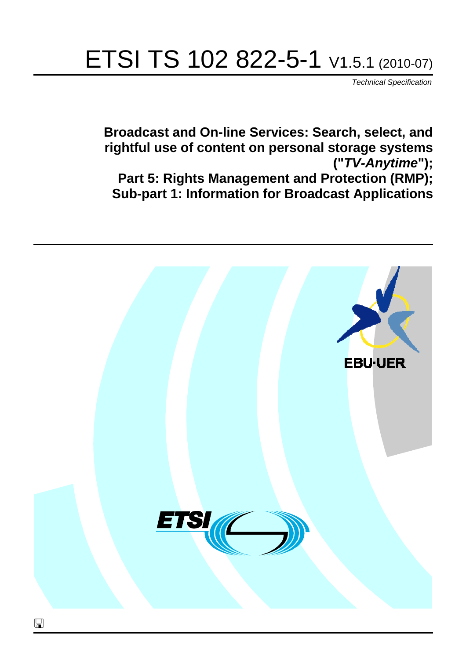# ETSI TS 102 822-5-1 V1.5.1 (2010-07)

*Technical Specification*

**Broadcast and On-line Services: Search, select, and rightful use of content on personal storage systems ("***TV-Anytime***"); Part 5: Rights Management and Protection (RMP); Sub-part 1: Information for Broadcast Applications**

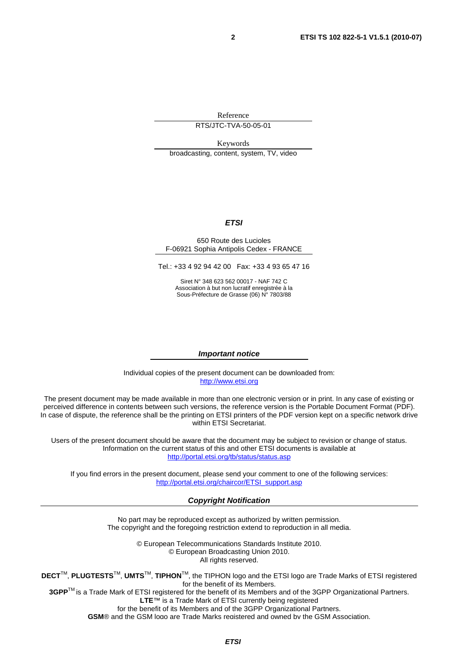Reference

RTS/JTC-TVA-50-05-01

Keywords broadcasting, content, system, TV, video

#### *ETSI*

#### 650 Route des Lucioles F-06921 Sophia Antipolis Cedex - FRANCE

Tel.: +33 4 92 94 42 00 Fax: +33 4 93 65 47 16

Siret N° 348 623 562 00017 - NAF 742 C Association à but non lucratif enregistrée à la Sous-Préfecture de Grasse (06) N° 7803/88

#### *Important notice*

Individual copies of the present document can be downloaded from: [http://www.etsi.org](http://www.etsi.org/)

The present document may be made available in more than one electronic version or in print. In any case of existing or perceived difference in contents between such versions, the reference version is the Portable Document Format (PDF). In case of dispute, the reference shall be the printing on ETSI printers of the PDF version kept on a specific network drive within ETSI Secretariat.

Users of the present document should be aware that the document may be subject to revision or change of status. Information on the current status of this and other ETSI documents is available at <http://portal.etsi.org/tb/status/status.asp>

If you find errors in the present document, please send your comment to one of the following services: [http://portal.etsi.org/chaircor/ETSI\\_support.asp](http://portal.etsi.org/chaircor/ETSI_support.asp)

#### *Copyright Notification*

No part may be reproduced except as authorized by written permission. The copyright and the foregoing restriction extend to reproduction in all media.

> © European Telecommunications Standards Institute 2010. © European Broadcasting Union 2010. All rights reserved.

**DECT**TM, **PLUGTESTS**TM, **UMTS**TM, **TIPHON**TM, the TIPHON logo and the ETSI logo are Trade Marks of ETSI registered for the benefit of its Members. **3GPP**TM is a Trade Mark of ETSI registered for the benefit of its Members and of the 3GPP Organizational Partners.

**LTE**™ is a Trade Mark of ETSI currently being registered

for the benefit of its Members and of the 3GPP Organizational Partners.

**GSM**® and the GSM logo are Trade Marks registered and owned by the GSM Association.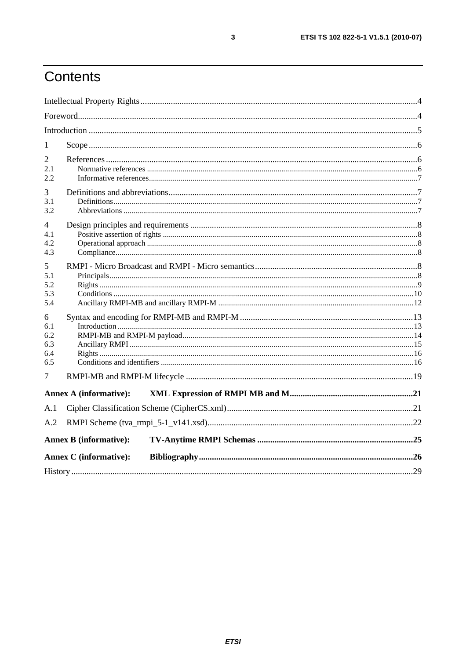## Contents

| 1                                    |                               |  |
|--------------------------------------|-------------------------------|--|
| 2<br>2.1<br>2.2.                     |                               |  |
| 3<br>3.1<br>3.2                      |                               |  |
| 4<br>4.1<br>4.2<br>4.3               |                               |  |
| 5<br>5.1<br>5.2<br>5.3<br>5.4        |                               |  |
| 6<br>6.1<br>6.2<br>6.3<br>6.4<br>6.5 |                               |  |
| 7                                    |                               |  |
|                                      | <b>Annex A (informative):</b> |  |
| A.1<br>A.2                           |                               |  |
|                                      | <b>Annex B</b> (informative): |  |
|                                      | <b>Annex C</b> (informative): |  |
|                                      |                               |  |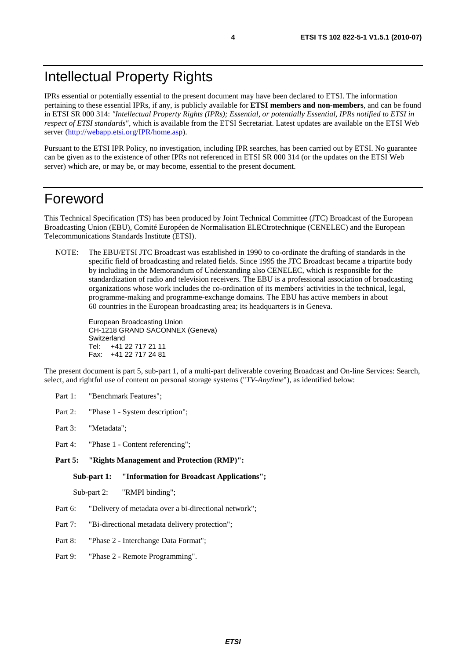IPRs essential or potentially essential to the present document may have been declared to ETSI. The information pertaining to these essential IPRs, if any, is publicly available for **ETSI members and non-members**, and can be found in ETSI SR 000 314: *"Intellectual Property Rights (IPRs); Essential, or potentially Essential, IPRs notified to ETSI in respect of ETSI standards"*, which is available from the ETSI Secretariat. Latest updates are available on the ETSI Web server [\(http://webapp.etsi.org/IPR/home.asp\)](http://webapp.etsi.org/IPR/home.asp).

Pursuant to the ETSI IPR Policy, no investigation, including IPR searches, has been carried out by ETSI. No guarantee can be given as to the existence of other IPRs not referenced in ETSI SR 000 314 (or the updates on the ETSI Web server) which are, or may be, or may become, essential to the present document.

### Foreword

This Technical Specification (TS) has been produced by Joint Technical Committee (JTC) Broadcast of the European Broadcasting Union (EBU), Comité Européen de Normalisation ELECtrotechnique (CENELEC) and the European Telecommunications Standards Institute (ETSI).

NOTE: The EBU/ETSI JTC Broadcast was established in 1990 to co-ordinate the drafting of standards in the specific field of broadcasting and related fields. Since 1995 the JTC Broadcast became a tripartite body by including in the Memorandum of Understanding also CENELEC, which is responsible for the standardization of radio and television receivers. The EBU is a professional association of broadcasting organizations whose work includes the co-ordination of its members' activities in the technical, legal, programme-making and programme-exchange domains. The EBU has active members in about 60 countries in the European broadcasting area; its headquarters is in Geneva.

European Broadcasting Union CH-1218 GRAND SACONNEX (Geneva) Switzerland Tel: +41 22 717 21 11 Fax: +41 22 717 24 81

The present document is part 5, sub-part 1, of a multi-part deliverable covering Broadcast and On-line Services: Search, select, and rightful use of content on personal storage systems ("*TV-Anytime*"), as identified below:

- Part 1: "Benchmark Features";
- Part 2: "Phase 1 System description";
- Part 3: "Metadata";
- Part 4: "Phase 1 Content referencing":
- **Part 5: "Rights Management and Protection (RMP)":**

**Sub-part 1: "Information for Broadcast Applications";** 

Sub-part 2: "RMPI binding";

- Part 6: "Delivery of metadata over a bi-directional network";
- Part 7: "Bi-directional metadata delivery protection";
- Part 8: "Phase 2 Interchange Data Format";
- Part 9: "Phase 2 Remote Programming".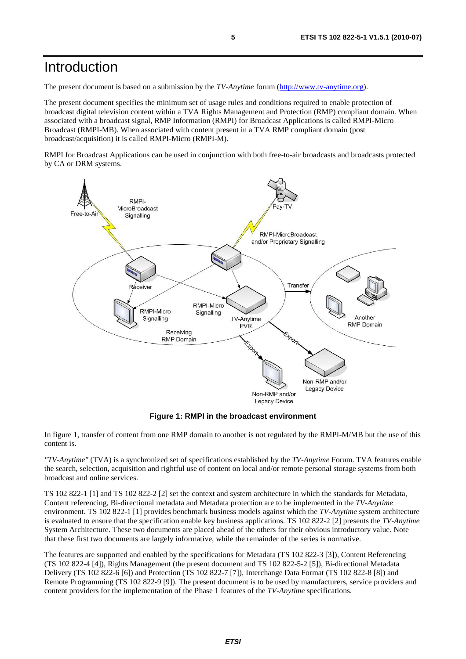### Introduction

The present document is based on a submission by the *TV-Anytime* forum [\(http://www.tv-anytime.org](http://www.tv-anytime.org/)).

The present document specifies the minimum set of usage rules and conditions required to enable protection of broadcast digital television content within a TVA Rights Management and Protection (RMP) compliant domain. When associated with a broadcast signal, RMP Information (RMPI) for Broadcast Applications is called RMPI-Micro Broadcast (RMPI-MB). When associated with content present in a TVA RMP compliant domain (post broadcast/acquisition) it is called RMPI-Micro (RMPI-M).

RMPI for Broadcast Applications can be used in conjunction with both free-to-air broadcasts and broadcasts protected by CA or DRM systems.



**Figure 1: RMPI in the broadcast environment** 

In figure 1, transfer of content from one RMP domain to another is not regulated by the RMPI-M/MB but the use of this content is.

*"TV-Anytime"* (TVA) is a synchronized set of specifications established by the *TV-Anytime* Forum. TVA features enable the search, selection, acquisition and rightful use of content on local and/or remote personal storage systems from both broadcast and online services.

TS 102 822-1 [1] and TS 102 822-2 [2] set the context and system architecture in which the standards for Metadata, Content referencing, Bi-directional metadata and Metadata protection are to be implemented in the *TV-Anytime* environment. TS 102 822-1 [1] provides benchmark business models against which the *TV-Anytime* system architecture is evaluated to ensure that the specification enable key business applications. TS 102 822-2 [2] presents the *TV-Anytime* System Architecture. These two documents are placed ahead of the others for their obvious introductory value. Note that these first two documents are largely informative, while the remainder of the series is normative.

The features are supported and enabled by the specifications for Metadata (TS 102 822-3 [3]), Content Referencing (TS 102 822-4 [4]), Rights Management (the present document and TS 102 822-5-2 [5]), Bi-directional Metadata Delivery (TS 102 822-6 [6]) and Protection (TS 102 822-7 [7]), Interchange Data Format (TS 102 822-8 [8]) and Remote Programming (TS 102 822-9 [9]). The present document is to be used by manufacturers, service providers and content providers for the implementation of the Phase 1 features of the *TV-Anytime* specifications.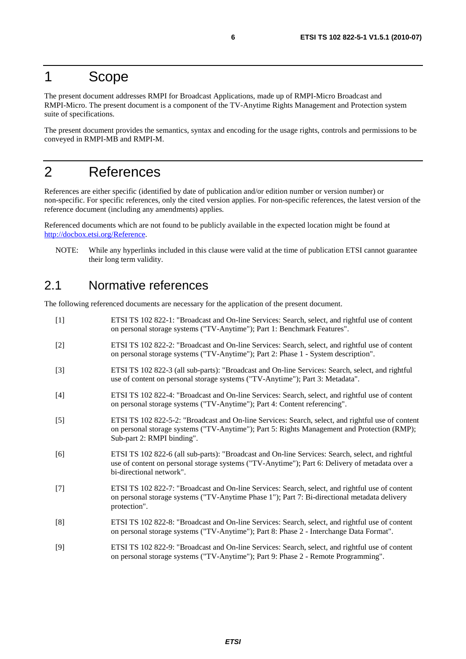### 1 Scope

The present document addresses RMPI for Broadcast Applications, made up of RMPI-Micro Broadcast and RMPI-Micro. The present document is a component of the TV-Anytime Rights Management and Protection system suite of specifications.

The present document provides the semantics, syntax and encoding for the usage rights, controls and permissions to be conveyed in RMPI-MB and RMPI-M.

## 2 References

References are either specific (identified by date of publication and/or edition number or version number) or non-specific. For specific references, only the cited version applies. For non-specific references, the latest version of the reference document (including any amendments) applies.

Referenced documents which are not found to be publicly available in the expected location might be found at [http://docbox.etsi.org/Reference.](http://docbox.etsi.org/Reference)

NOTE: While any hyperlinks included in this clause were valid at the time of publication ETSI cannot guarantee their long term validity.

### 2.1 Normative references

The following referenced documents are necessary for the application of the present document.

[1] ETSI TS 102 822-1: "Broadcast and On-line Services: Search, select, and rightful use of content on personal storage systems ("TV-Anytime"); Part 1: Benchmark Features". [2] ETSI TS 102 822-2: "Broadcast and On-line Services: Search, select, and rightful use of content on personal storage systems ("TV-Anytime"); Part 2: Phase 1 - System description". [3] ETSI TS 102 822-3 (all sub-parts): "Broadcast and On-line Services: Search, select, and rightful use of content on personal storage systems ("TV-Anytime"); Part 3: Metadata". [4] ETSI TS 102 822-4: "Broadcast and On-line Services: Search, select, and rightful use of content on personal storage systems ("TV-Anytime"); Part 4: Content referencing". [5] ETSI TS 102 822-5-2: "Broadcast and On-line Services: Search, select, and rightful use of content on personal storage systems ("TV-Anytime"); Part 5: Rights Management and Protection (RMP); Sub-part 2: RMPI binding". [6] ETSI TS 102 822-6 (all sub-parts): "Broadcast and On-line Services: Search, select, and rightful use of content on personal storage systems ("TV-Anytime"); Part 6: Delivery of metadata over a bi-directional network". [7] ETSI TS 102 822-7: "Broadcast and On-line Services: Search, select, and rightful use of content on personal storage systems ("TV-Anytime Phase 1"); Part 7: Bi-directional metadata delivery protection". [8] ETSI TS 102 822-8: "Broadcast and On-line Services: Search, select, and rightful use of content on personal storage systems ("TV-Anytime"); Part 8: Phase 2 - Interchange Data Format". [9] ETSI TS 102 822-9: "Broadcast and On-line Services: Search, select, and rightful use of content on personal storage systems ("TV-Anytime"); Part 9: Phase 2 - Remote Programming".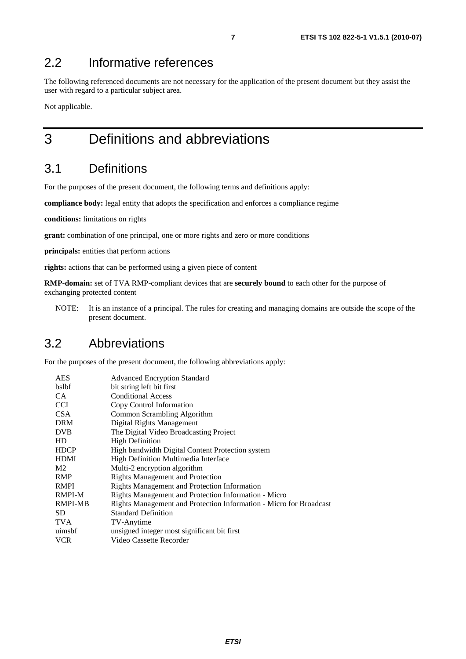### 2.2 Informative references

The following referenced documents are not necessary for the application of the present document but they assist the user with regard to a particular subject area.

Not applicable.

## 3 Definitions and abbreviations

### 3.1 Definitions

For the purposes of the present document, the following terms and definitions apply:

**compliance body:** legal entity that adopts the specification and enforces a compliance regime

**conditions:** limitations on rights

**grant:** combination of one principal, one or more rights and zero or more conditions

**principals:** entities that perform actions

**rights:** actions that can be performed using a given piece of content

**RMP-domain:** set of TVA RMP-compliant devices that are **securely bound** to each other for the purpose of exchanging protected content

NOTE: It is an instance of a principal. The rules for creating and managing domains are outside the scope of the present document.

### 3.2 Abbreviations

For the purposes of the present document, the following abbreviations apply:

| <b>AES</b>     | <b>Advanced Encryption Standard</b>                                |  |
|----------------|--------------------------------------------------------------------|--|
| bslbf          | bit string left bit first                                          |  |
| CA.            | <b>Conditional Access</b>                                          |  |
| <b>CCI</b>     | Copy Control Information                                           |  |
| <b>CSA</b>     | Common Scrambling Algorithm                                        |  |
| <b>DRM</b>     | Digital Rights Management                                          |  |
| <b>DVB</b>     | The Digital Video Broadcasting Project                             |  |
| HD             | <b>High Definition</b>                                             |  |
| <b>HDCP</b>    | High bandwidth Digital Content Protection system                   |  |
| <b>HDMI</b>    | High Definition Multimedia Interface                               |  |
| M <sub>2</sub> | Multi-2 encryption algorithm                                       |  |
| <b>RMP</b>     | <b>Rights Management and Protection</b>                            |  |
| <b>RMPI</b>    | <b>Rights Management and Protection Information</b>                |  |
| <b>RMPI-M</b>  | Rights Management and Protection Information - Micro               |  |
| <b>RMPI-MB</b> | Rights Management and Protection Information - Micro for Broadcast |  |
| SD.            | <b>Standard Definition</b>                                         |  |
| <b>TVA</b>     | TV-Anytime                                                         |  |
| uimsbf         | unsigned integer most significant bit first                        |  |
| <b>VCR</b>     | Video Cassette Recorder                                            |  |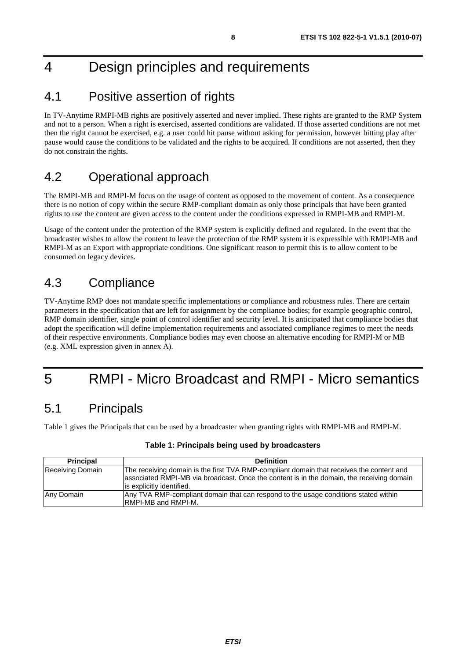## 4 Design principles and requirements

### 4.1 Positive assertion of rights

In TV-Anytime RMPI-MB rights are positively asserted and never implied. These rights are granted to the RMP System and not to a person. When a right is exercised, asserted conditions are validated. If those asserted conditions are not met then the right cannot be exercised, e.g. a user could hit pause without asking for permission, however hitting play after pause would cause the conditions to be validated and the rights to be acquired. If conditions are not asserted, then they do not constrain the rights.

### 4.2 Operational approach

The RMPI-MB and RMPI-M focus on the usage of content as opposed to the movement of content. As a consequence there is no notion of copy within the secure RMP-compliant domain as only those principals that have been granted rights to use the content are given access to the content under the conditions expressed in RMPI-MB and RMPI-M.

Usage of the content under the protection of the RMP system is explicitly defined and regulated. In the event that the broadcaster wishes to allow the content to leave the protection of the RMP system it is expressible with RMPI-MB and RMPI-M as an Export with appropriate conditions. One significant reason to permit this is to allow content to be consumed on legacy devices.

### 4.3 Compliance

TV-Anytime RMP does not mandate specific implementations or compliance and robustness rules. There are certain parameters in the specification that are left for assignment by the compliance bodies; for example geographic control, RMP domain identifier, single point of control identifier and security level. It is anticipated that compliance bodies that adopt the specification will define implementation requirements and associated compliance regimes to meet the needs of their respective environments. Compliance bodies may even choose an alternative encoding for RMPI-M or MB (e.g. XML expression given in annex A).

## 5 RMPI - Micro Broadcast and RMPI - Micro semantics

### 5.1 Principals

Table 1 gives the Principals that can be used by a broadcaster when granting rights with RMPI-MB and RMPI-M.

| <b>Principal</b> | <b>Definition</b>                                                                                                                                                                                                  |
|------------------|--------------------------------------------------------------------------------------------------------------------------------------------------------------------------------------------------------------------|
| Receiving Domain | The receiving domain is the first TVA RMP-compliant domain that receives the content and<br>associated RMPI-MB via broadcast. Once the content is in the domain, the receiving domain<br>is explicitly identified. |
| Any Domain       | Any TVA RMP-compliant domain that can respond to the usage conditions stated within<br><b>IRMPI-MB and RMPI-M.</b>                                                                                                 |

#### **Table 1: Principals being used by broadcasters**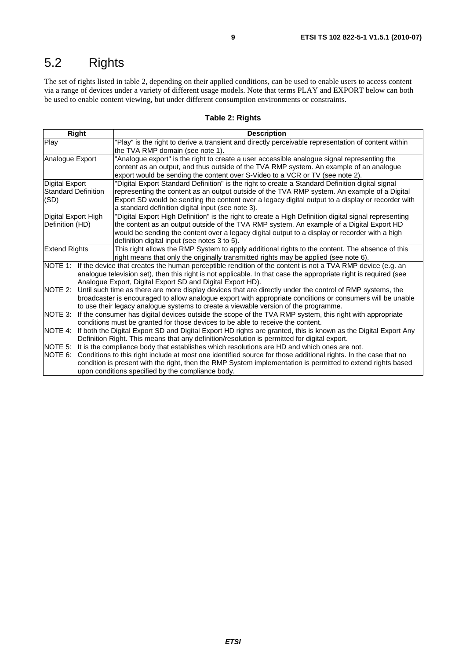## 5.2 Rights

The set of rights listed in table 2, depending on their applied conditions, can be used to enable users to access content via a range of devices under a variety of different usage models. Note that terms PLAY and EXPORT below can both be used to enable content viewing, but under different consumption environments or constraints.

#### **Table 2: Rights**

| Right                      | <b>Description</b>                                                                                                 |  |  |
|----------------------------|--------------------------------------------------------------------------------------------------------------------|--|--|
| Play                       | 'Play" is the right to derive a transient and directly perceivable representation of content within                |  |  |
|                            | the TVA RMP domain (see note 1).                                                                                   |  |  |
| Analogue Export            | "Analogue export" is the right to create a user accessible analogue signal representing the                        |  |  |
|                            | content as an output, and thus outside of the TVA RMP system. An example of an analogue                            |  |  |
|                            | export would be sending the content over S-Video to a VCR or TV (see note 2).                                      |  |  |
| <b>Digital Export</b>      | "Digital Export Standard Definition" is the right to create a Standard Definition digital signal                   |  |  |
| <b>Standard Definition</b> | representing the content as an output outside of the TVA RMP system. An example of a Digital                       |  |  |
| (SD)                       | Export SD would be sending the content over a legacy digital output to a display or recorder with                  |  |  |
|                            | a standard definition digital input (see note 3).                                                                  |  |  |
| Digital Export High        | "Digital Export High Definition" is the right to create a High Definition digital signal representing              |  |  |
| Definition (HD)            | the content as an output outside of the TVA RMP system. An example of a Digital Export HD                          |  |  |
|                            | would be sending the content over a legacy digital output to a display or recorder with a high                     |  |  |
|                            | definition digital input (see notes 3 to 5).                                                                       |  |  |
| <b>Extend Rights</b>       | This right allows the RMP System to apply additional rights to the content. The absence of this                    |  |  |
|                            | right means that only the originally transmitted rights may be applied (see note 6).                               |  |  |
|                            | NOTE 1: If the device that creates the human perceptible rendition of the content is not a TVA RMP device (e.g. an |  |  |
|                            | analogue television set), then this right is not applicable. In that case the appropriate right is required (see   |  |  |
|                            | Analogue Export, Digital Export SD and Digital Export HD).                                                         |  |  |
| NOTE 2:                    | Until such time as there are more display devices that are directly under the control of RMP systems, the          |  |  |
|                            | broadcaster is encouraged to allow analogue export with appropriate conditions or consumers will be unable         |  |  |
|                            | to use their legacy analogue systems to create a viewable version of the programme.                                |  |  |
| NOTE 3:                    | If the consumer has digital devices outside the scope of the TVA RMP system, this right with appropriate           |  |  |
|                            | conditions must be granted for those devices to be able to receive the content.                                    |  |  |
| <b>NOTE 4:</b>             | If both the Digital Export SD and Digital Export HD rights are granted, this is known as the Digital Export Any    |  |  |
|                            | Definition Right. This means that any definition/resolution is permitted for digital export.                       |  |  |
| NOTE 5:                    | It is the compliance body that establishes which resolutions are HD and which ones are not.                        |  |  |
| NOTE 6:                    | Conditions to this right include at most one identified source for those additional rights. In the case that no    |  |  |
|                            | condition is present with the right, then the RMP System implementation is permitted to extend rights based        |  |  |
|                            | upon conditions specified by the compliance body.                                                                  |  |  |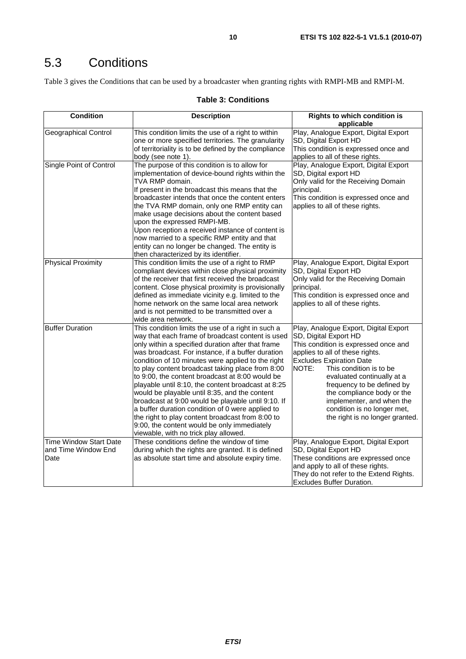## 5.3 Conditions

Table 3 gives the Conditions that can be used by a broadcaster when granting rights with RMPI-MB and RMPI-M.

#### **Table 3: Conditions**

| <b>Condition</b>                                             | <b>Description</b>                                                                                                                                                                                                                                                                                                                                                                                                                                                                                                                                                                                                                                                                                                                        | <b>Rights to which condition is</b><br>applicable                                                                                                                                                                                                                                                                                                                                                         |
|--------------------------------------------------------------|-------------------------------------------------------------------------------------------------------------------------------------------------------------------------------------------------------------------------------------------------------------------------------------------------------------------------------------------------------------------------------------------------------------------------------------------------------------------------------------------------------------------------------------------------------------------------------------------------------------------------------------------------------------------------------------------------------------------------------------------|-----------------------------------------------------------------------------------------------------------------------------------------------------------------------------------------------------------------------------------------------------------------------------------------------------------------------------------------------------------------------------------------------------------|
| <b>Geographical Control</b>                                  | This condition limits the use of a right to within<br>one or more specified territories. The granularity<br>of territoriality is to be defined by the compliance<br>body (see note 1).                                                                                                                                                                                                                                                                                                                                                                                                                                                                                                                                                    | Play, Analogue Export, Digital Export<br>SD, Digital Export HD<br>This condition is expressed once and<br>applies to all of these rights.                                                                                                                                                                                                                                                                 |
| Single Point of Control                                      | The purpose of this condition is to allow for<br>implementation of device-bound rights within the<br>TVA RMP domain.<br>If present in the broadcast this means that the<br>broadcaster intends that once the content enters<br>the TVA RMP domain, only one RMP entity can<br>make usage decisions about the content based<br>upon the expressed RMPI-MB.<br>Upon reception a received instance of content is<br>now married to a specific RMP entity and that<br>entity can no longer be changed. The entity is<br>then characterized by its identifier.                                                                                                                                                                                 | Play, Analogue Export, Digital Export<br>SD, Digital export HD<br>Only valid for the Receiving Domain<br>principal.<br>This condition is expressed once and<br>applies to all of these rights.                                                                                                                                                                                                            |
| <b>Physical Proximity</b>                                    | This condition limits the use of a right to RMP<br>compliant devices within close physical proximity<br>of the receiver that first received the broadcast<br>content. Close physical proximity is provisionally<br>defined as immediate vicinity e.g. limited to the<br>home network on the same local area network<br>and is not permitted to be transmitted over a<br>wide area network.                                                                                                                                                                                                                                                                                                                                                | Play, Analogue Export, Digital Export<br>SD, Digital Export HD<br>Only valid for the Receiving Domain<br>principal.<br>This condition is expressed once and<br>applies to all of these rights.                                                                                                                                                                                                            |
| <b>Buffer Duration</b>                                       | This condition limits the use of a right in such a<br>way that each frame of broadcast content is used<br>only within a specified duration after that frame<br>was broadcast. For instance, if a buffer duration<br>condition of 10 minutes were applied to the right<br>to play content broadcast taking place from 8:00<br>to 9:00, the content broadcast at 8:00 would be<br>playable until 8:10, the content broadcast at 8:25<br>would be playable until 8:35, and the content<br>broadcast at 9:00 would be playable until 9:10. If<br>a buffer duration condition of 0 were applied to<br>the right to play content broadcast from 8:00 to<br>9:00, the content would be only immediately<br>viewable, with no trick play allowed. | Play, Analogue Export, Digital Export<br>SD, Digital Export HD<br>This condition is expressed once and<br>applies to all of these rights.<br><b>Excludes Expiration Date</b><br>NOTE:<br>This condition is to be<br>evaluated continually at a<br>frequency to be defined by<br>the compliance body or the<br>implementer, and when the<br>condition is no longer met,<br>the right is no longer granted. |
| <b>Time Window Start Date</b><br>and Time Window End<br>Date | These conditions define the window of time<br>during which the rights are granted. It is defined<br>as absolute start time and absolute expiry time.                                                                                                                                                                                                                                                                                                                                                                                                                                                                                                                                                                                      | Play, Analogue Export, Digital Export<br>SD, Digital Export HD<br>These conditions are expressed once<br>and apply to all of these rights.<br>They do not refer to the Extend Rights.<br>Excludes Buffer Duration.                                                                                                                                                                                        |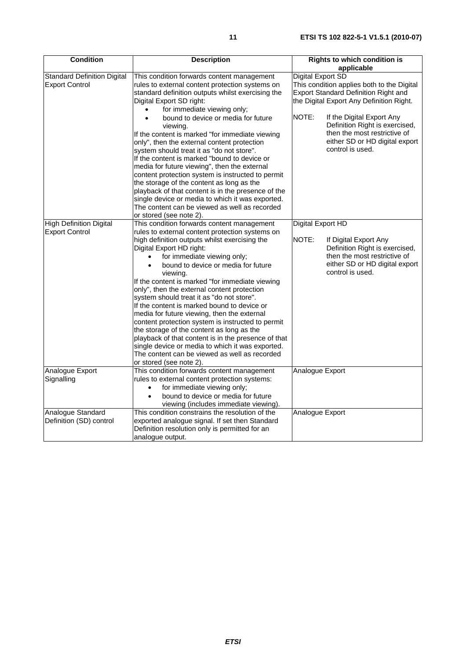| <b>Condition</b>                                            | <b>Description</b>                                                                                                                                                                                                                                                                                                                                                                                                                                                                                                                                                                                                                                                                                                                                                                                 | <b>Rights to which condition is</b>                                                                                                                                         |
|-------------------------------------------------------------|----------------------------------------------------------------------------------------------------------------------------------------------------------------------------------------------------------------------------------------------------------------------------------------------------------------------------------------------------------------------------------------------------------------------------------------------------------------------------------------------------------------------------------------------------------------------------------------------------------------------------------------------------------------------------------------------------------------------------------------------------------------------------------------------------|-----------------------------------------------------------------------------------------------------------------------------------------------------------------------------|
|                                                             |                                                                                                                                                                                                                                                                                                                                                                                                                                                                                                                                                                                                                                                                                                                                                                                                    | applicable                                                                                                                                                                  |
| <b>Standard Definition Digital</b><br><b>Export Control</b> | This condition forwards content management<br>rules to external content protection systems on<br>standard definition outputs whilst exercising the<br>Digital Export SD right:                                                                                                                                                                                                                                                                                                                                                                                                                                                                                                                                                                                                                     | Digital Export SD<br>This condition applies both to the Digital<br><b>Export Standard Definition Right and</b><br>the Digital Export Any Definition Right.                  |
|                                                             | for immediate viewing only;<br>$\bullet$<br>bound to device or media for future<br>$\bullet$<br>viewing.<br>If the content is marked "for immediate viewing<br>only", then the external content protection<br>system should treat it as "do not store".<br>If the content is marked "bound to device or<br>media for future viewing", then the external<br>content protection system is instructed to permit<br>the storage of the content as long as the<br>playback of that content is in the presence of the<br>single device or media to which it was exported.<br>The content can be viewed as well as recorded<br>or stored (see note 2).                                                                                                                                                    | NOTE:<br>If the Digital Export Any<br>Definition Right is exercised,<br>then the most restrictive of<br>either SD or HD digital export<br>control is used.                  |
| <b>High Definition Digital</b><br><b>Export Control</b>     | This condition forwards content management<br>rules to external content protection systems on<br>high definition outputs whilst exercising the<br>Digital Export HD right:<br>for immediate viewing only;<br>bound to device or media for future<br>viewing.<br>If the content is marked "for immediate viewing<br>only", then the external content protection<br>system should treat it as "do not store".<br>If the content is marked bound to device or<br>media for future viewing, then the external<br>content protection system is instructed to permit<br>the storage of the content as long as the<br>playback of that content is in the presence of that<br>single device or media to which it was exported.<br>The content can be viewed as well as recorded<br>or stored (see note 2). | Digital Export HD<br>NOTE:<br>If Digital Export Any<br>Definition Right is exercised,<br>then the most restrictive of<br>either SD or HD digital export<br>control is used. |
| Analogue Export<br>Signalling                               | This condition forwards content management<br>rules to external content protection systems:<br>for immediate viewing only;<br>$\bullet$<br>bound to device or media for future<br>$\bullet$<br>viewing (includes immediate viewing).                                                                                                                                                                                                                                                                                                                                                                                                                                                                                                                                                               | Analogue Export                                                                                                                                                             |
| Analogue Standard<br>Definition (SD) control                | This condition constrains the resolution of the<br>exported analogue signal. If set then Standard<br>Definition resolution only is permitted for an<br>analogue output.                                                                                                                                                                                                                                                                                                                                                                                                                                                                                                                                                                                                                            | Analogue Export                                                                                                                                                             |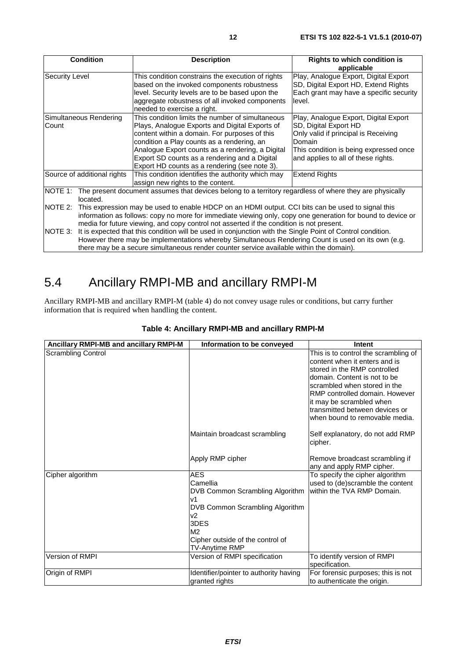| <b>Condition</b>            | <b>Description</b>                                                                                              | <b>Rights to which condition is</b>     |  |
|-----------------------------|-----------------------------------------------------------------------------------------------------------------|-----------------------------------------|--|
|                             |                                                                                                                 | applicable                              |  |
| <b>Security Level</b>       | This condition constrains the execution of rights                                                               | Play, Analogue Export, Digital Export   |  |
|                             | based on the invoked components robustness                                                                      | SD, Digital Export HD, Extend Rights    |  |
|                             | level. Security levels are to be based upon the                                                                 | Each grant may have a specific security |  |
|                             | aggregate robustness of all invoked components                                                                  | level.                                  |  |
|                             | needed to exercise a right.                                                                                     |                                         |  |
| Simultaneous Rendering      | This condition limits the number of simultaneous                                                                | Play, Analogue Export, Digital Export   |  |
| Count                       | Plays, Analogue Exports and Digital Exports of                                                                  | SD, Digital Export HD                   |  |
|                             | content within a domain. For purposes of this                                                                   | Only valid if principal is Receiving    |  |
|                             | condition a Play counts as a rendering, an                                                                      | Domain                                  |  |
|                             | Analogue Export counts as a rendering, a Digital                                                                | This condition is being expressed once  |  |
|                             | Export SD counts as a rendering and a Digital                                                                   | and applies to all of these rights.     |  |
|                             | Export HD counts as a rendering (see note 3).                                                                   |                                         |  |
| Source of additional rights | This condition identifies the authority which may                                                               | <b>Extend Rights</b>                    |  |
|                             | assign new rights to the content.                                                                               |                                         |  |
|                             | NOTE 1: The present document assumes that devices belong to a territory regardless of where they are physically |                                         |  |
| located.                    |                                                                                                                 |                                         |  |
| NOTE 2:                     | This expression may be used to enable HDCP on an HDMI output. CCI bits can be used to signal this               |                                         |  |
|                             | information as follows: copy no more for immediate viewing only, copy one generation for bound to device or     |                                         |  |
|                             | media for future viewing, and copy control not asserted if the condition is not present.                        |                                         |  |
| NOTE 3:                     | It is expected that this condition will be used in conjunction with the Single Point of Control condition.      |                                         |  |
|                             | However there may be implementations whereby Simultaneous Rendering Count is used on its own (e.g.              |                                         |  |
|                             | there may be a secure simultaneous render counter service available within the domain).                         |                                         |  |

## 5.4 Ancillary RMPI-MB and ancillary RMPI-M

Ancillary RMPI-MB and ancillary RMPI-M (table 4) do not convey usage rules or conditions, but carry further information that is required when handling the content.

| Ancillary RMPI-MB and ancillary RMPI-M | Information to be conveyed                                                                                                                                                               | Intent                                                                                                                                                                                                                                                                                                  |
|----------------------------------------|------------------------------------------------------------------------------------------------------------------------------------------------------------------------------------------|---------------------------------------------------------------------------------------------------------------------------------------------------------------------------------------------------------------------------------------------------------------------------------------------------------|
| <b>Scrambling Control</b>              |                                                                                                                                                                                          | This is to control the scrambling of<br>content when it enters and is<br>stored in the RMP controlled<br>domain. Content is not to be<br>scrambled when stored in the<br>RMP controlled domain. However<br>it may be scrambled when<br>transmitted between devices or<br>when bound to removable media. |
|                                        | Maintain broadcast scrambling                                                                                                                                                            | Self explanatory, do not add RMP<br>cipher.                                                                                                                                                                                                                                                             |
|                                        | Apply RMP cipher                                                                                                                                                                         | Remove broadcast scrambling if<br>any and apply RMP cipher.                                                                                                                                                                                                                                             |
| Cipher algorithm                       | <b>AES</b><br>Camellia<br>DVB Common Scrambling Algorithm<br>v1<br>DVB Common Scrambling Algorithm<br>v2<br>3DES<br>M <sub>2</sub><br>Cipher outside of the control of<br>TV-Anytime RMP | To specify the cipher algorithm<br>used to (de)scramble the content<br>within the TVA RMP Domain.                                                                                                                                                                                                       |
| Version of RMPI                        | Version of RMPI specification                                                                                                                                                            | To identify version of RMPI<br>specification.                                                                                                                                                                                                                                                           |
| Origin of RMPI                         | Identifier/pointer to authority having<br>granted rights                                                                                                                                 | For forensic purposes; this is not<br>to authenticate the origin.                                                                                                                                                                                                                                       |

### **Table 4: Ancillary RMPI-MB and ancillary RMPI-M**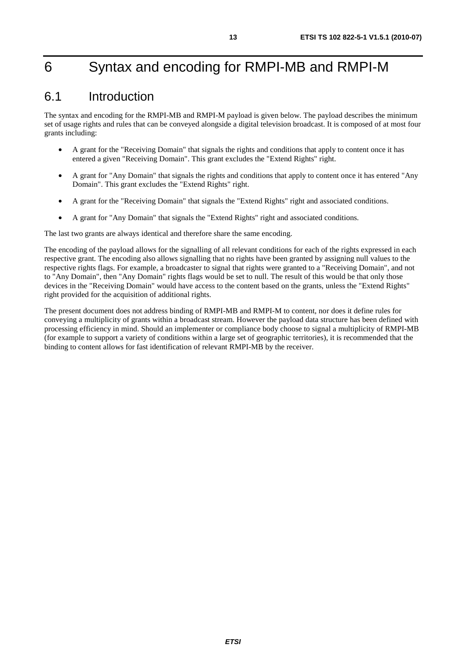## 6 Syntax and encoding for RMPI-MB and RMPI-M

### 6.1 Introduction

The syntax and encoding for the RMPI-MB and RMPI-M payload is given below. The payload describes the minimum set of usage rights and rules that can be conveyed alongside a digital television broadcast. It is composed of at most four grants including:

- A grant for the "Receiving Domain" that signals the rights and conditions that apply to content once it has entered a given "Receiving Domain". This grant excludes the "Extend Rights" right.
- A grant for "Any Domain" that signals the rights and conditions that apply to content once it has entered "Any Domain". This grant excludes the "Extend Rights" right.
- A grant for the "Receiving Domain" that signals the "Extend Rights" right and associated conditions.
- A grant for "Any Domain" that signals the "Extend Rights" right and associated conditions.

The last two grants are always identical and therefore share the same encoding.

The encoding of the payload allows for the signalling of all relevant conditions for each of the rights expressed in each respective grant. The encoding also allows signalling that no rights have been granted by assigning null values to the respective rights flags. For example, a broadcaster to signal that rights were granted to a "Receiving Domain", and not to "Any Domain", then "Any Domain" rights flags would be set to null. The result of this would be that only those devices in the "Receiving Domain" would have access to the content based on the grants, unless the "Extend Rights" right provided for the acquisition of additional rights.

The present document does not address binding of RMPI-MB and RMPI-M to content, nor does it define rules for conveying a multiplicity of grants within a broadcast stream. However the payload data structure has been defined with processing efficiency in mind. Should an implementer or compliance body choose to signal a multiplicity of RMPI-MB (for example to support a variety of conditions within a large set of geographic territories), it is recommended that the binding to content allows for fast identification of relevant RMPI-MB by the receiver.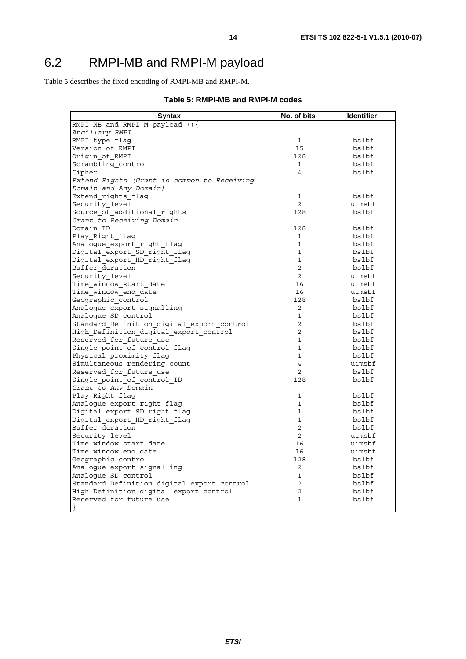Table 5 describes the fixed encoding of RMPI-MB and RMPI-M.

|  |  | Table 5: RMPI-MB and RMPI-M codes |  |
|--|--|-----------------------------------|--|
|--|--|-----------------------------------|--|

| <b>Syntax</b>                               | No. of bits    | <b>Identifier</b> |
|---------------------------------------------|----------------|-------------------|
| RMPI MB and RMPI M payload () {             |                |                   |
| Ancillary RMPI                              |                |                   |
| RMPI type flag                              | 1              | bslbf             |
| Version of RMPI                             | 15             | bslbf             |
| Origin of RMPI                              | 128            | bslbf             |
| Scrambling control                          | 1              | bslbf             |
| Cipher                                      | $\overline{4}$ | bslbf             |
| Extend Rights (Grant is common to Receiving |                |                   |
| Domain and Any Domain)                      |                |                   |
| Extend rights flag                          | $\mathbf{1}$   | bslbf             |
| Security level                              | $\overline{2}$ | uimsbf            |
| Source_of_additional_rights                 | 128            | bslbf             |
| Grant to Receiving Domain                   |                |                   |
| Domain ID                                   | 128            | bslbf             |
| Play_Right_flag                             | $\mathbf{1}$   | bslbf             |
| Analogue export right flag                  | $\mathbf{1}$   | bslbf             |
| Digital export SD right flag                | $\mathbf{1}$   | bslbf             |
| Digital_export_HD_right_flag                | $\mathbf{1}$   | bslbf             |
| Buffer duration                             | $\overline{2}$ | bslbf             |
| Security level                              | $\overline{2}$ | uimsbf            |
| Time window start date                      | 16             | uimsbf            |
| Time window end date                        | 16             | uimsbf            |
| Geographic control                          | 128            | bslbf             |
| Analogue export signalling                  | $\overline{2}$ | bslbf             |
| Analoque SD control                         | $\mathbf 1$    | bslbf             |
| Standard Definition digital export control  | 2              | bslbf             |
| High Definition digital export control      | $\overline{2}$ | bslbf             |
| Reserved for future use                     | $\mathbf{1}$   | bslbf             |
| Single point of control flag                | $\mathbf{1}$   | bslbf             |
| Physical proximity flag                     | $\mathbf{1}$   | bslbf             |
| Simultaneous_rendering_count                | $\overline{4}$ | uimsbf            |
| Reserved for future use                     | $\overline{2}$ | bslbf             |
| Single point of control ID                  | 128            | bslbf             |
| Grant to Any Domain                         |                |                   |
| Play Right flag                             | 1              | bslbf             |
| Analogue export right flag                  | $\mathbf{1}$   | bslbf             |
| Digital_export_SD_right_flag                | $\mathbf{1}$   | bslbf             |
| Digital export HD right flag                | $\mathbf{1}$   | bslbf             |
| Buffer duration                             | $\overline{2}$ | bslbf             |
| Security level                              | $\overline{2}$ | uimsbf            |
| Time window start date                      | 16             | uimsbf            |
| Time_window_end_date                        | 16             | uimsbf            |
| Geographic_control                          | 128            | bslbf             |
|                                             |                |                   |
| Analogue export signalling                  | $\overline{2}$ | bslbf             |
| Analogue SD_control                         | $\mathbf{1}$   | bslbf             |
| Standard Definition digital export control  | $\overline{2}$ | bslbf             |
| High Definition digital export control      | $\overline{2}$ | bslbf             |
| Reserved for future use                     | $\mathbf{1}$   | bslbf             |
| $\mathcal{F}$                               |                |                   |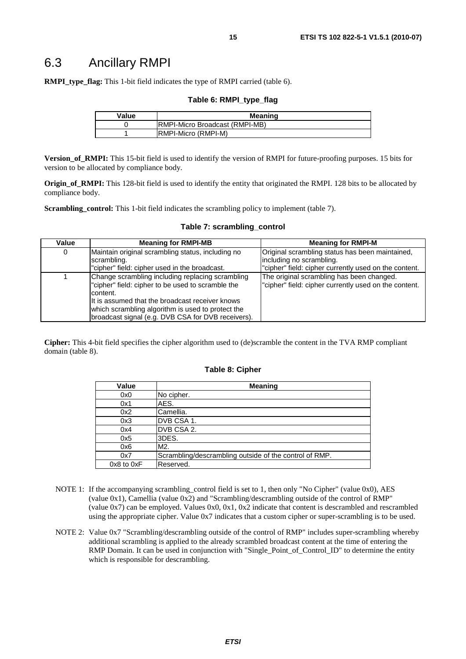### 6.3 Ancillary RMPI

**RMPI\_type\_flag:** This 1-bit field indicates the type of RMPI carried (table 6).

#### **Table 6: RMPI\_type\_flag**

| Value | <b>Meaning</b>                         |  |
|-------|----------------------------------------|--|
|       | <b>IRMPI-Micro Broadcast (RMPI-MB)</b> |  |
|       | <b>IRMPI-Micro (RMPI-M)</b>            |  |

**Version\_of\_RMPI:** This 15-bit field is used to identify the version of RMPI for future-proofing purposes. 15 bits for version to be allocated by compliance body.

**Origin of RMPI:** This 128-bit field is used to identify the entity that originated the RMPI. 128 bits to be allocated by compliance body.

**Scrambling\_control:** This 1-bit field indicates the scrambling policy to implement (table 7).

| Value | <b>Meaning for RMPI-MB</b>                                    | <b>Meaning for RMPI-M</b>                             |
|-------|---------------------------------------------------------------|-------------------------------------------------------|
| 0     | Maintain original scrambling status, including no             | Original scrambling status has been maintained,       |
|       | scrambling.                                                   | including no scrambling.                              |
|       | "cipher" field: cipher used in the broadcast.                 | "cipher" field: cipher currently used on the content. |
|       | Change scrambling including replacing scrambling              | The original scrambling has been changed.             |
|       | "cipher" field: cipher to be used to scramble the<br>content. | "cipher" field: cipher currently used on the content. |
|       | It is assumed that the broadcast receiver knows               |                                                       |
|       | which scrambling algorithm is used to protect the             |                                                       |
|       | broadcast signal (e.g. DVB CSA for DVB receivers).            |                                                       |

#### **Table 7: scrambling\_control**

**Cipher:** This 4-bit field specifies the cipher algorithm used to (de)scramble the content in the TVA RMP compliant domain (table 8).

#### **Table 8: Cipher**

| Value          | <b>Meaning</b>                                         |
|----------------|--------------------------------------------------------|
| 0x0            | No cipher.                                             |
| 0x1            | AES.                                                   |
| 0x2            | Camellia.                                              |
| 0x3            | DVB CSA 1.                                             |
| 0x4            | DVB CSA 2.                                             |
| 0x5            | 3DES.                                                  |
| 0x6            | M2.                                                    |
| 0x7            | Scrambling/descrambling outside of the control of RMP. |
| $0x8$ to $0xF$ | Reserved.                                              |

- NOTE 1: If the accompanying scrambling control field is set to 1, then only "No Cipher" (value 0x0), AES (value 0x1), Camellia (value 0x2) and "Scrambling/descrambling outside of the control of RMP" (value  $0x7$ ) can be employed. Values  $0x0$ ,  $0x1$ ,  $0x2$  indicate that content is descrambled and rescrambled using the appropriate cipher. Value 0x7 indicates that a custom cipher or super-scrambling is to be used.
- NOTE 2: Value 0x7 "Scrambling/descrambling outside of the control of RMP" includes super-scrambling whereby additional scrambling is applied to the already scrambled broadcast content at the time of entering the RMP Domain. It can be used in conjunction with "Single\_Point\_of\_Control\_ID" to determine the entity which is responsible for descrambling.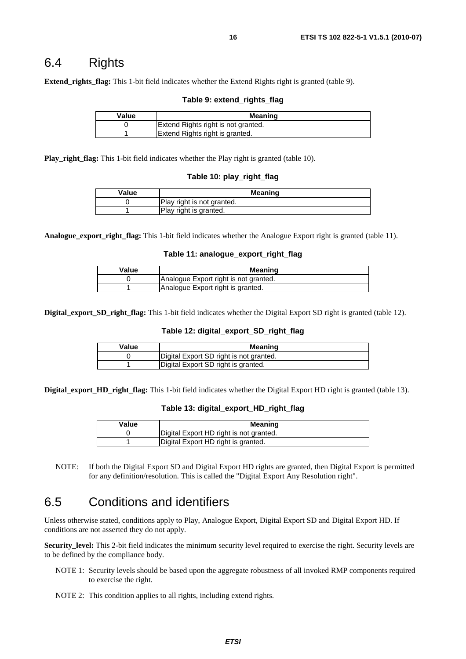### 6.4 Rights

**Extend\_rights\_flag:** This 1-bit field indicates whether the Extend Rights right is granted (table 9).

#### **Table 9: extend\_rights\_flag**

| Value | Meaning                             |
|-------|-------------------------------------|
|       | Extend Rights right is not granted. |
|       | Extend Rights right is granted.     |

**Play\_right\_flag:** This 1-bit field indicates whether the Play right is granted (table 10).

#### **Table 10: play\_right\_flag**

| Value | <b>Meaning</b>             |
|-------|----------------------------|
|       | Play right is not granted. |
|       | Play right is granted.     |

**Analogue\_export\_right\_flag:** This 1-bit field indicates whether the Analogue Export right is granted (table 11).

#### **Table 11: analogue\_export\_right\_flag**

| Value | Meaning                               |
|-------|---------------------------------------|
|       | Analogue Export right is not granted. |
|       | Analogue Export right is granted.     |

**Digital export SD right flag:** This 1-bit field indicates whether the Digital Export SD right is granted (table 12).

#### **Table 12: digital\_export\_SD\_right\_flag**

| Value | Meaning                                 |
|-------|-----------------------------------------|
|       | Digital Export SD right is not granted. |
|       | Digital Export SD right is granted.     |

**Digital\_export\_HD\_right\_flag:** This 1-bit field indicates whether the Digital Export HD right is granted (table 13).

#### **Table 13: digital\_export\_HD\_right\_flag**

| Value | Meaning                                 |
|-------|-----------------------------------------|
|       | Digital Export HD right is not granted. |
|       | Digital Export HD right is granted.     |

NOTE: If both the Digital Export SD and Digital Export HD rights are granted, then Digital Export is permitted for any definition/resolution. This is called the "Digital Export Any Resolution right".

### 6.5 Conditions and identifiers

Unless otherwise stated, conditions apply to Play, Analogue Export, Digital Export SD and Digital Export HD. If conditions are not asserted they do not apply.

**Security\_level:** This 2-bit field indicates the minimum security level required to exercise the right. Security levels are to be defined by the compliance body.

- NOTE 1: Security levels should be based upon the aggregate robustness of all invoked RMP components required to exercise the right.
- NOTE 2: This condition applies to all rights, including extend rights.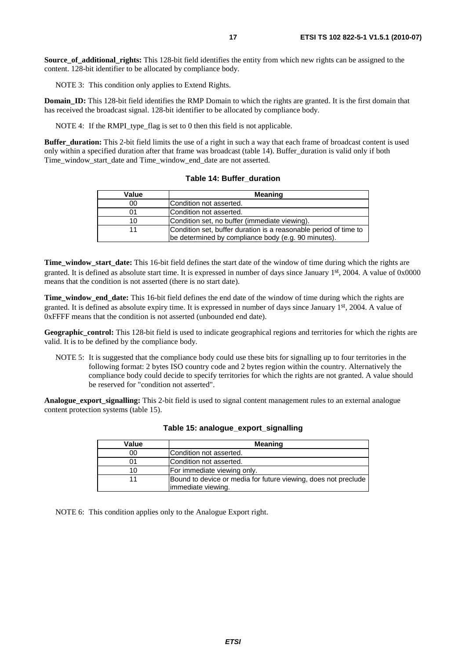**Source of additional rights:** This 128-bit field identifies the entity from which new rights can be assigned to the content. 128-bit identifier to be allocated by compliance body.

NOTE 3: This condition only applies to Extend Rights.

**Domain ID:** This 128-bit field identifies the RMP Domain to which the rights are granted. It is the first domain that has received the broadcast signal. 128-bit identifier to be allocated by compliance body.

NOTE 4: If the RMPI type flag is set to 0 then this field is not applicable.

**Buffer duration:** This 2-bit field limits the use of a right in such a way that each frame of broadcast content is used only within a specified duration after that frame was broadcast (table 14). Buffer\_duration is valid only if both Time\_window\_start\_date and Time\_window\_end\_date are not asserted.

| Value | <b>Meaning</b>                                                                                                          |
|-------|-------------------------------------------------------------------------------------------------------------------------|
| 00    | Condition not asserted.                                                                                                 |
| 01    | Condition not asserted.                                                                                                 |
| 10    | Condition set, no buffer (immediate viewing).                                                                           |
|       | Condition set, buffer duration is a reasonable period of time to<br>be determined by compliance body (e.g. 90 minutes). |

**Table 14: Buffer\_duration** 

**Time\_window\_start\_date:** This 16-bit field defines the start date of the window of time during which the rights are granted. It is defined as absolute start time. It is expressed in number of days since January 1st, 2004. A value of 0x0000 means that the condition is not asserted (there is no start date).

**Time\_window\_end\_date:** This 16-bit field defines the end date of the window of time during which the rights are granted. It is defined as absolute expiry time. It is expressed in number of days since January 1st, 2004. A value of 0xFFFF means that the condition is not asserted (unbounded end date).

**Geographic\_control:** This 128-bit field is used to indicate geographical regions and territories for which the rights are valid. It is to be defined by the compliance body.

NOTE 5: It is suggested that the compliance body could use these bits for signalling up to four territories in the following format: 2 bytes ISO country code and 2 bytes region within the country. Alternatively the compliance body could decide to specify territories for which the rights are not granted. A value should be reserved for "condition not asserted".

**Analogue\_export\_signalling:** This 2-bit field is used to signal content management rules to an external analogue content protection systems (table 15).

| Value | <b>Meaning</b>                                                                       |
|-------|--------------------------------------------------------------------------------------|
| 00    | Condition not asserted.                                                              |
| 01    | Condition not asserted.                                                              |
| 10    | For immediate viewing only.                                                          |
|       | Bound to device or media for future viewing, does not preclude<br>immediate viewing. |

**Table 15: analogue\_export\_signalling**

NOTE 6: This condition applies only to the Analogue Export right.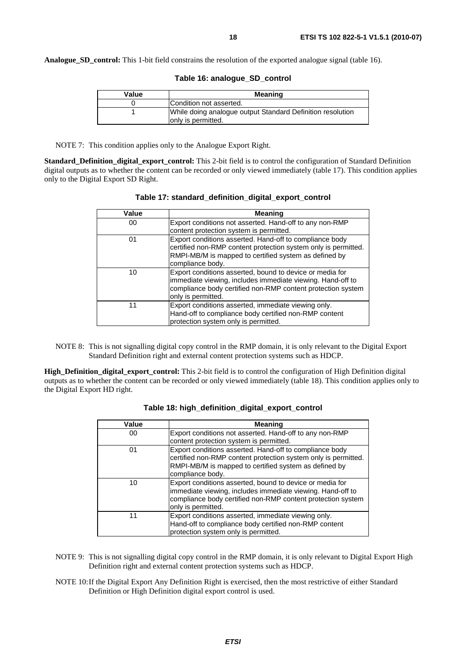**Analogue SD control:** This 1-bit field constrains the resolution of the exported analogue signal (table 16).

| Value | <b>Meaning</b>                                             |
|-------|------------------------------------------------------------|
|       | Condition not asserted.                                    |
|       | While doing analogue output Standard Definition resolution |
|       | only is permitted.                                         |

#### **Table 16: analogue\_SD\_control**

NOTE 7: This condition applies only to the Analogue Export Right.

**Standard\_Definition\_digital\_export\_control:** This 2-bit field is to control the configuration of Standard Definition digital outputs as to whether the content can be recorded or only viewed immediately (table 17). This condition applies only to the Digital Export SD Right.

| Value | Meaning                                                        |
|-------|----------------------------------------------------------------|
|       |                                                                |
| 00    | Export conditions not asserted. Hand-off to any non-RMP        |
|       | content protection system is permitted.                        |
| 01    | Export conditions asserted. Hand-off to compliance body        |
|       | certified non-RMP content protection system only is permitted. |
|       | RMPI-MB/M is mapped to certified system as defined by          |
|       | compliance body.                                               |
|       |                                                                |
| 10    | Export conditions asserted, bound to device or media for       |
|       | immediate viewing, includes immediate viewing. Hand-off to     |
|       | compliance body certified non-RMP content protection system    |
|       |                                                                |
|       | only is permitted.                                             |
| 11    | Export conditions asserted, immediate viewing only.            |
|       | Hand-off to compliance body certified non-RMP content          |
|       | protection system only is permitted.                           |

| Table 17: standard_definition_digital_export_control |
|------------------------------------------------------|
|------------------------------------------------------|

NOTE 8: This is not signalling digital copy control in the RMP domain, it is only relevant to the Digital Export Standard Definition right and external content protection systems such as HDCP.

**High\_Definition\_digital\_export\_control:** This 2-bit field is to control the configuration of High Definition digital outputs as to whether the content can be recorded or only viewed immediately (table 18). This condition applies only to the Digital Export HD right.

| Value | Meaning                                                                                                                                                                                                     |
|-------|-------------------------------------------------------------------------------------------------------------------------------------------------------------------------------------------------------------|
| 00    | Export conditions not asserted. Hand-off to any non-RMP                                                                                                                                                     |
|       | content protection system is permitted.                                                                                                                                                                     |
| 01    | Export conditions asserted. Hand-off to compliance body<br>certified non-RMP content protection system only is permitted.<br>RMPI-MB/M is mapped to certified system as defined by<br>compliance body.      |
| 10    | Export conditions asserted, bound to device or media for<br>immediate viewing, includes immediate viewing. Hand-off to<br>compliance body certified non-RMP content protection system<br>only is permitted. |
| 11    | Export conditions asserted, immediate viewing only.<br>Hand-off to compliance body certified non-RMP content<br>protection system only is permitted.                                                        |

| Table 18: high_definition_digital_export_control |  |  |  |  |
|--------------------------------------------------|--|--|--|--|
|--------------------------------------------------|--|--|--|--|

- NOTE 9: This is not signalling digital copy control in the RMP domain, it is only relevant to Digital Export High Definition right and external content protection systems such as HDCP.
- NOTE 10: If the Digital Export Any Definition Right is exercised, then the most restrictive of either Standard Definition or High Definition digital export control is used.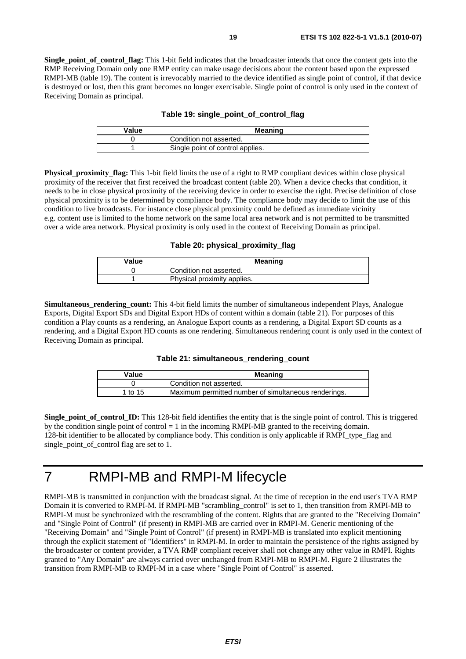**Single** point of control flag: This 1-bit field indicates that the broadcaster intends that once the content gets into the RMP Receiving Domain only one RMP entity can make usage decisions about the content based upon the expressed RMPI-MB (table 19). The content is irrevocably married to the device identified as single point of control, if that device is destroyed or lost, then this grant becomes no longer exercisable. Single point of control is only used in the context of Receiving Domain as principal.

|  |  |  |  |  | Table 19: single_point_of_control_flag |  |
|--|--|--|--|--|----------------------------------------|--|
|--|--|--|--|--|----------------------------------------|--|

| Value | Meaning                          |
|-------|----------------------------------|
|       | Condition not asserted.          |
|       | Single point of control applies. |

**Physical proximity flag:** This 1-bit field limits the use of a right to RMP compliant devices within close physical proximity of the receiver that first received the broadcast content (table 20). When a device checks that condition, it needs to be in close physical proximity of the receiving device in order to exercise the right. Precise definition of close physical proximity is to be determined by compliance body. The compliance body may decide to limit the use of this condition to live broadcasts. For instance close physical proximity could be defined as immediate vicinity e.g. content use is limited to the home network on the same local area network and is not permitted to be transmitted over a wide area network. Physical proximity is only used in the context of Receiving Domain as principal.

**Table 20: physical\_proximity\_flag**

| Value | <b>Meaning</b>              |
|-------|-----------------------------|
|       | Condition not asserted.     |
|       | Physical proximity applies. |

**Simultaneous\_rendering\_count:** This 4-bit field limits the number of simultaneous independent Plays, Analogue Exports, Digital Export SDs and Digital Export HDs of content within a domain (table 21). For purposes of this condition a Play counts as a rendering, an Analogue Export counts as a rendering, a Digital Export SD counts as a rendering, and a Digital Export HD counts as one rendering. Simultaneous rendering count is only used in the context of Receiving Domain as principal.

#### **Table 21: simultaneous\_rendering\_count**

| Value   | <b>Meaning</b>                                       |
|---------|------------------------------------------------------|
|         | Condition not asserted.                              |
| 1 to 15 | Maximum permitted number of simultaneous renderings. |

**Single** point of control **ID:** This 128-bit field identifies the entity that is the single point of control. This is triggered by the condition single point of control  $= 1$  in the incoming RMPI-MB granted to the receiving domain. 128-bit identifier to be allocated by compliance body. This condition is only applicable if RMPI\_type\_flag and single\_point\_of\_control flag are set to 1.

### 7 RMPI-MB and RMPI-M lifecycle

RMPI-MB is transmitted in conjunction with the broadcast signal. At the time of reception in the end user's TVA RMP Domain it is converted to RMPI-M. If RMPI-MB "scrambling\_control" is set to 1, then transition from RMPI-MB to RMPI-M must be synchronized with the rescrambling of the content. Rights that are granted to the "Receiving Domain" and "Single Point of Control" (if present) in RMPI-MB are carried over in RMPI-M. Generic mentioning of the "Receiving Domain" and "Single Point of Control" (if present) in RMPI-MB is translated into explicit mentioning through the explicit statement of "Identifiers" in RMPI-M. In order to maintain the persistence of the rights assigned by the broadcaster or content provider, a TVA RMP compliant receiver shall not change any other value in RMPI. Rights granted to "Any Domain" are always carried over unchanged from RMPI-MB to RMPI-M. Figure 2 illustrates the transition from RMPI-MB to RMPI-M in a case where "Single Point of Control" is asserted.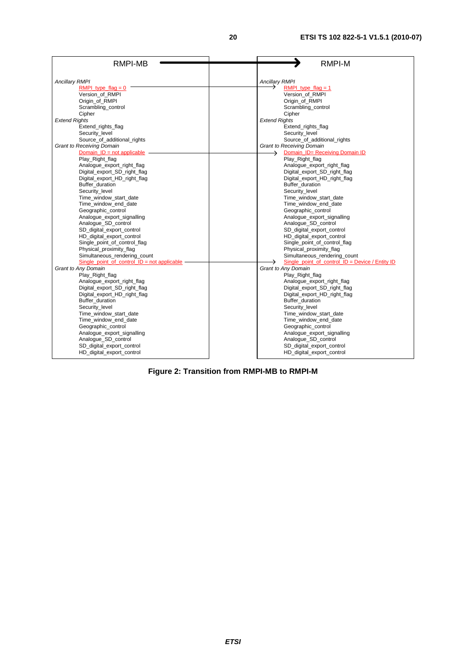| <b>RMPI-MB</b>                                    | <b>RMPI-M</b>                                     |
|---------------------------------------------------|---------------------------------------------------|
|                                                   |                                                   |
| <b>Ancillary RMPI</b>                             | <b>Ancillary RMPI</b>                             |
| RMPI type flag = $0$                              | RMPI type $flag = 1$                              |
| Version_of_RMPI                                   | Version_of_RMPI                                   |
| Origin of RMPI                                    | Origin of RMPI                                    |
| Scrambling control                                | Scrambling control                                |
| Cipher                                            | Cipher                                            |
| <b>Extend Rights</b>                              | <b>Extend Rights</b>                              |
| Extend_rights_flag                                | Extend_rights_flag                                |
| Security_level                                    | Security level                                    |
| Source_of_additional_rights                       | Source_of_additional_rights                       |
| <b>Grant to Receiving Domain</b>                  | <b>Grant to Receiving Domain</b>                  |
| Domain $ID = not applicable$                      | Domain_ID= Receiving Domain ID<br>$\rightarrow$   |
| Play Right flag                                   | Play Right flag                                   |
| Analogue_export_right_flag                        | Analogue_export_right_flag                        |
| Digital_export_SD_right_flag                      | Digital_export_SD_right_flag                      |
| Digital_export_HD_right_flag                      | Digital_export_HD_right_flag                      |
| Buffer_duration                                   | Buffer duration                                   |
| Security level                                    | Security level                                    |
| Time_window_start_date                            | Time_window_start_date                            |
| Time window end date                              | Time window end date                              |
| Geographic_control                                | Geographic_control                                |
| Analogue_export_signalling<br>Analogue SD control | Analogue_export_signalling<br>Analogue SD control |
| SD digital export control                         | SD digital export control                         |
| HD_digital_export_control                         | HD_digital_export_control                         |
| Single_point_of_control_flag                      | Single point of control flag                      |
| Physical_proximity_flag                           | Physical_proximity_flag                           |
| Simultaneous_rendering_count                      | Simultaneous_rendering_count                      |
| Single point of control $ID = not applicable$     | Single point of control $ID = Device / Entity ID$ |
| Grant to Any Domain                               | Grant to Any Domain                               |
| Play_Right_flag                                   | Play_Right_flag                                   |
| Analogue_export_right_flag                        | Analogue_export_right_flag                        |
| Digital export SD right flag                      | Digital export SD right flag                      |
| Digital_export_HD_right_flag                      | Digital_export_HD_right_flag                      |
| Buffer_duration                                   | Buffer_duration                                   |
| Security_level                                    | Security level                                    |
| Time_window_start_date                            | Time_window_start_date                            |
| Time window end date                              | Time window end date                              |
| Geographic_control                                | Geographic_control                                |
| Analogue_export_signalling                        | Analogue_export_signalling                        |
| Analogue_SD_control                               | Analogue_SD_control                               |
| SD digital export control                         | SD digital export control                         |
| HD digital export control                         | HD_digital_export_control                         |
|                                                   |                                                   |

**Figure 2: Transition from RMPI-MB to RMPI-M**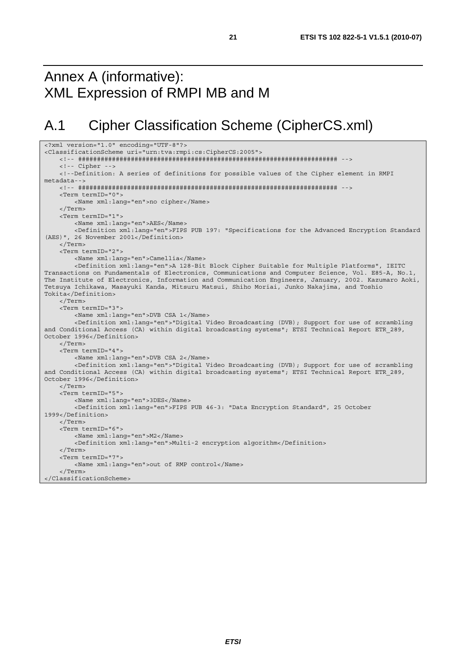## Annex A (informative): XML Expression of RMPI MB and M

## A.1 Cipher Classification Scheme (CipherCS.xml)

```
<?xml version="1.0" encoding="UTF-8"?> 
<ClassificationScheme uri="urn:tva:rmpi:cs:CipherCS:2005"> 
     <!-- ##################################################################### --> 
     <!-- Cipher --> 
     <!--Definition: A series of definitions for possible values of the Cipher element in RMPI 
metadata--> 
     <!-- ##################################################################### --> 
     <Term termID="0"> 
         <Name xml:lang="en">no cipher</Name> 
     </Term> 
     <Term termID="1"> 
         <Name xml:lang="en">AES</Name> 
         <Definition xml:lang="en">FIPS PUB 197: "Specifications for the Advanced Encryption Standard 
(AES)", 26 November 2001</Definition> 
     </Term> 
     <Term termID="2"> 
         <Name xml:lang="en">Camellia</Name> 
         <Definition xml:lang="en">A 128-Bit Block Cipher Suitable for Multiple Platforms", IEITC 
Transactions on Fundamentals of Electronics, Communications and Computer Science, Vol. E85-A, No.1, 
The Institute of Electronics, Information and Communication Engineers, January, 2002. Kazumaro Aoki, 
Tetsuya Ichikawa, Masayuki Kanda, Mitsuru Matsui, Shiho Moriai, Junko Nakajima, and Toshio 
Tokita</Definition> 
     </Term> 
     <Term termID="3"> 
         <Name xml:lang="en">DVB CSA 1</Name> 
         <Definition xml:lang="en">"Digital Video Broadcasting (DVB); Support for use of scrambling 
and Conditional Access (CA) within digital broadcasting systems"; ETSI Technical Report ETR 289,
October 1996</Definition> 
     </Term> 
     <Term termID="4"> 
         <Name xml:lang="en">DVB CSA 2</Name> 
         <Definition xml:lang="en">"Digital Video Broadcasting (DVB); Support for use of scrambling 
and Conditional Access (CA) within digital broadcasting systems"; ETSI Technical Report ETR 289,
October 1996</Definition> 
     </Term> 
     <Term termID="5"> 
         <Name xml:lang="en">3DES</Name> 
         <Definition xml:lang="en">FIPS PUB 46-3: "Data Encryption Standard", 25 October 
1999</Definition> 
     </Term> 
     <Term termID="6"> 
         <Name xml:lang="en">M2</Name> 
         <Definition xml:lang="en">Multi-2 encryption algorithm</Definition> 
     </Term> 
     <Term termID="7"> 
        <Name xml:lang="en">out of RMP control</Name> 
     </Term> 
</ClassificationScheme>
```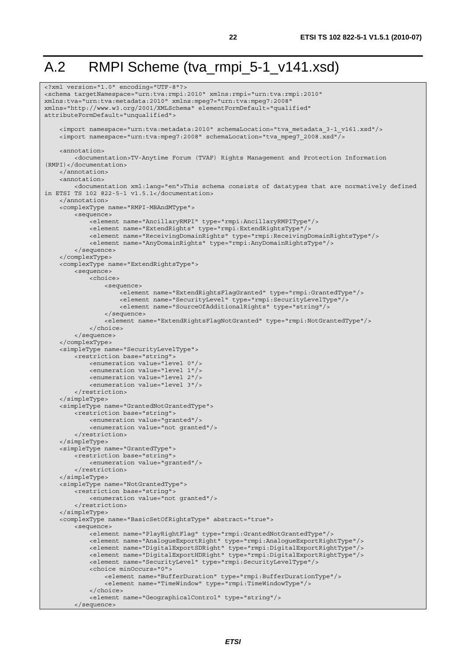## A.2 RMPI Scheme (tva\_rmpi\_5-1\_v141.xsd)

```
<?xml version="1.0" encoding="UTF-8"?> 
<schema targetNamespace="urn:tva:rmpi:2010" xmlns:rmpi="urn:tva:rmpi:2010" 
xmlns:tva="urn:tva:metadata:2010" xmlns:mpeg7="urn:tva:mpeg7:2008" 
xmlns="http://www.w3.org/2001/XMLSchema" elementFormDefault="qualified" 
attributeFormDefault="unqualified"> 
     <import namespace="urn:tva:metadata:2010" schemaLocation="tva_metadata_3-1_v161.xsd"/> 
    \langleimport namespace="urn:tva:mpeg7:2008" schemaLocation="tva_mpeg7_2008.xsd"/>
     <annotation> 
          <documentation>TV-Anytime Forum (TVAF) Rights Management and Protection Information 
(RMPI)</documentation> 
     </annotation> 
    \tanh\arctan <documentation xml:lang="en">This schema consists of datatypes that are normatively defined 
in ETSI TS 102 822-5-1 v1.5.1</documentation> 
     </annotation> 
     <complexType name="RMPI-MBAndMType"> 
         <sequence> 
             <element name="AncillaryRMPI" type="rmpi:AncillaryRMPIType"/> 
              <element name="ExtendRights" type="rmpi:ExtendRightsType"/> 
              <element name="ReceivingDomainRights" type="rmpi:ReceivingDomainRightsType"/> 
             <element name="AnyDomainRights" type="rmpi:AnyDomainRightsType"/> 
         </sequence> 
     </complexType> 
     <complexType name="ExtendRightsType"> 
         <sequence> 
             <choice> 
                  <sequence> 
                      <element name="ExtendRightsFlagGranted" type="rmpi:GrantedType"/> 
                      <element name="SecurityLevel" type="rmpi:SecurityLevelType"/> 
                      <element name="SourceOfAdditionalRights" type="string"/> 
                  </sequence> 
                  <element name="ExtendRightsFlagNotGranted" type="rmpi:NotGrantedType"/> 
             </choice> 
         </sequence> 
     </complexType> 
     <simpleType name="SecurityLevelType"> 
         <restriction base="string"> 
             <enumeration value="level 0"/> 
              <enumeration value="level 1"/> 
             <enumeration value="level 2"/> 
             <enumeration value="level 3"/> 
         </restriction> 
     </simpleType> 
     <simpleType name="GrantedNotGrantedType"> 
         <restriction base="string"> 
             <enumeration value="granted"/> 
             <enumeration value="not granted"/> 
         </restriction> 
     </simpleType> 
     <simpleType name="GrantedType"> 
         <restriction base="string"> 
             <enumeration value="granted"/> 
         </restriction> 
     </simpleType> 
     <simpleType name="NotGrantedType"> 
         <restriction base="string"> 
             <enumeration value="not granted"/> 
         </restriction> 
     </simpleType> 
     <complexType name="BasicSetOfRightsType" abstract="true"> 
         <sequence> 
             <element name="PlayRightFlag" type="rmpi:GrantedNotGrantedType"/> 
              <element name="AnalogueExportRight" type="rmpi:AnalogueExportRightType"/> 
              <element name="DigitalExportSDRight" type="rmpi:DigitalExportRightType"/> 
             <element name="DigitalExportHDRight" type="rmpi:DigitalExportRightType"/> 
              <element name="SecurityLevel" type="rmpi:SecurityLevelType"/> 
             <choice minOccurs="0"> 
                  <element name="BufferDuration" type="rmpi:BufferDurationType"/> 
                  <element name="TimeWindow" type="rmpi:TimeWindowType"/> 
              </choice> 
              <element name="GeographicalControl" type="string"/> 
         </sequence>
```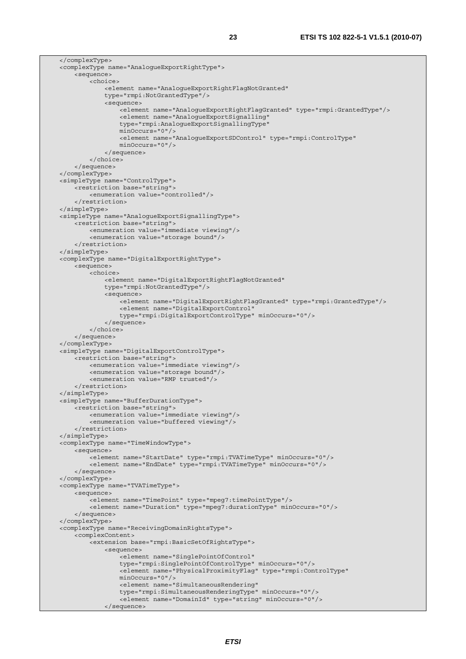</complexType> <complexType name="AnalogueExportRightType"> <sequence> <choice> <element name="AnalogueExportRightFlagNotGranted" type="rmpi:NotGrantedType"/> <sequence> -<br><element name="AnaloqueExportRightFlagGranted" type="rmpi:GrantedType"/> <element name="AnalogueExportSignalling" type="rmpi:AnalogueExportSignallingType" minOccurs="0"/> <element name="AnalogueExportSDControl" type="rmpi:ControlType" minOccurs="0"/> </sequence> </choice> </sequence> </complexType> <simpleType name="ControlType"> <restriction base="string"> <enumeration value="controlled"/> </restriction> </simpleType> <simpleType name="AnalogueExportSignallingType"> <restriction base="string"> <enumeration value="immediate viewing"/> <enumeration value="storage bound"/> </restriction> </simpleType> <complexType name="DigitalExportRightType"> <sequence> <choice> <element name="DigitalExportRightFlagNotGranted" type="rmpi:NotGrantedType"/> <sequence> <element name="DigitalExportRightFlagGranted" type="rmpi:GrantedType"/> <element name="DigitalExportControl" type="rmpi:DigitalExportControlType" minOccurs="0"/> </sequence> </choice> </sequence> </complexType> <simpleType name="DigitalExportControlType"> <restriction base="string"> <enumeration value="immediate viewing"/> <enumeration value="storage bound"/> <enumeration value="RMP trusted"/> </restriction> </simpleType> <simpleType name="BufferDurationType"> <restriction base="string"> <enumeration value="immediate viewing"/> <enumeration value="buffered viewing"/> </restriction> </simpleType> <complexType name="TimeWindowType"> <sequence> <element name="StartDate" type="rmpi:TVATimeType" minOccurs="0"/> <element name="EndDate" type="rmpi:TVATimeType" minOccurs="0"/> </sequence> </complexType> <complexType name="TVATimeType"> <sequence> <element name="TimePoint" type="mpeg7:timePointType"/> <element name="Duration" type="mpeg7:durationType" minOccurs="0"/> </sequence> </complexType> <complexType name="ReceivingDomainRightsType"> <complexContent> <extension base="rmpi:BasicSetOfRightsType"> <sequence> <element name="SinglePointOfControl" type="rmpi:SinglePointOfControlType" minOccurs="0"/> <element name="PhysicalProximityFlag" type="rmpi:ControlType" minOccurs="0"/> <element name="SimultaneousRendering" type="rmpi:SimultaneousRenderingType" minOccurs="0"/> <element name="DomainId" type="string" minOccurs="0"/> </sequence>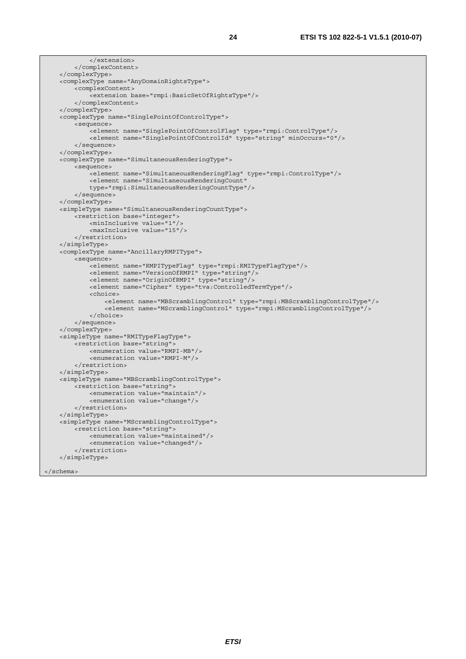```
 </extension> 
     </complexContent> 
 </complexType> 
 <complexType name="AnyDomainRightsType"> 
     <complexContent> 
         <extension base="rmpi:BasicSetOfRightsType"/> 
     </complexContent> 
 </complexType> 
 <complexType name="SinglePointOfControlType"> 
     <sequence> 
         <element name="SinglePointOfControlFlag" type="rmpi:ControlType"/> 
         <element name="SinglePointOfControlId" type="string" minOccurs="0"/> 
     </sequence> 
 </complexType> 
 <complexType name="SimultaneousRenderingType"> 
     <sequence> 
         <element name="SimultaneousRenderingFlag" type="rmpi:ControlType"/> 
         <element name="SimultaneousRenderingCount" 
         type="rmpi:SimultaneousRenderingCountType"/> 
     </sequence> 
 </complexType> 
 <simpleType name="SimultaneousRenderingCountType"> 
     <restriction base="integer"> 
         <minInclusive value="1"/> 
         <maxInclusive value="15"/> 
     </restriction> 
 </simpleType> 
 <complexType name="AncillaryRMPIType"> 
     <sequence> 
         <element name="RMPITypeFlag" type="rmpi:RMITypeFlagType"/> 
         <element name="VersionOfRMPI" type="string"/> 
         <element name="OriginOfRMPI" type="string"/> 
         <element name="Cipher" type="tva:ControlledTermType"/> 
         <choice> 
              <element name="MBScramblingControl" type="rmpi:MBScramblingControlType"/> 
              <element name="MScramblingControl" type="rmpi:MScramblingControlType"/> 
         </choice> 
     </sequence> 
 </complexType> 
 <simpleType name="RMITypeFlagType"> 
    <restriction base="string"
         <enumeration value="RMPI-MB"/> 
         <enumeration value="RMPI-M"/> 
     </restriction> 
 </simpleType> 
 <simpleType name="MBScramblingControlType"> 
     <restriction base="string"> 
         <enumeration value="maintain"/> 
         <enumeration value="change"/> 
     </restriction> 
 </simpleType> 
 <simpleType name="MScramblingControlType"> 
     <restriction base="string"> 
         <enumeration value="maintained"/> 
         <enumeration value="changed"/> 
     </restriction> 
 </simpleType>
```

```
</schema>
```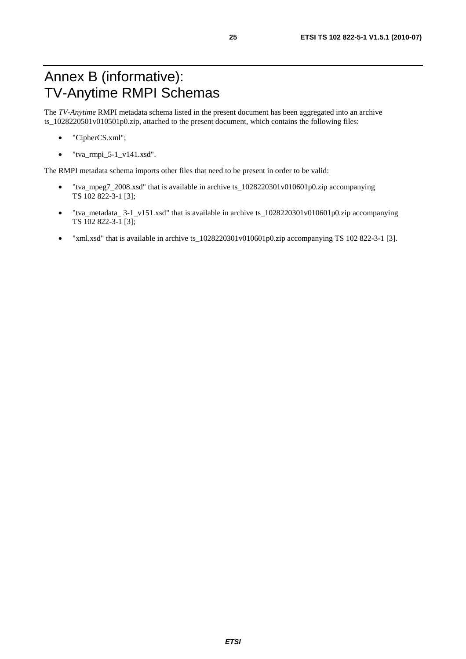## Annex B (informative): TV-Anytime RMPI Schemas

The *TV-Anytime* RMPI metadata schema listed in the present document has been aggregated into an archive ts\_1028220501v010501p0.zip, attached to the present document, which contains the following files:

- "CipherCS.xml";
- $\bullet$  "tva\_rmpi\_5-1\_v141.xsd".

The RMPI metadata schema imports other files that need to be present in order to be valid:

- "tva\_mpeg7\_2008.xsd" that is available in archive ts\_1028220301v010601p0.zip accompanying TS 102 822-3-1 [3];
- "tva\_metadata\_ 3-1\_v151.xsd" that is available in archive ts\_1028220301v010601p0.zip accompanying TS 102 822-3-1 [3];
- "xml.xsd" that is available in archive ts\_1028220301v010601p0.zip accompanying TS 102 822-3-1 [3].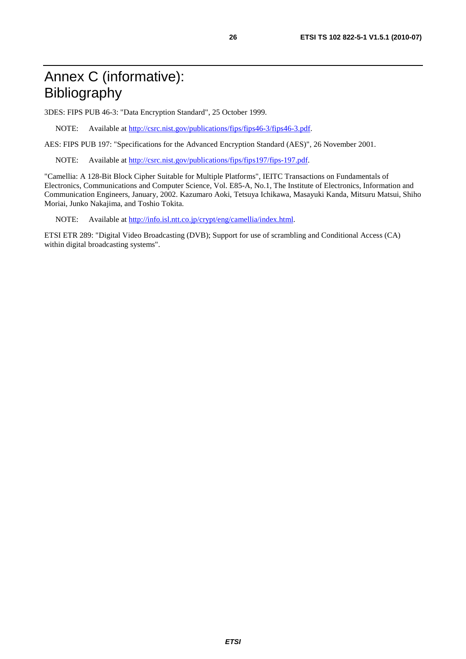## Annex C (informative): Bibliography

3DES: FIPS PUB 46-3: "Data Encryption Standard", 25 October 1999.

NOTE: Available at [http://csrc.nist.gov/publications/fips/fips46-3/fips46-3.pdf.](http://csrc.nist.gov/publications/fips/fips46-3/fips46-3.pdf) 

AES: FIPS PUB 197: "Specifications for the Advanced Encryption Standard (AES)", 26 November 2001.

NOTE: Available at [http://csrc.nist.gov/publications/fips/fips197/fips-197.pdf.](http://csrc.nist.gov/publications/fips/fips197/fips-197.pdf) 

"Camellia: A 128-Bit Block Cipher Suitable for Multiple Platforms", IEITC Transactions on Fundamentals of Electronics, Communications and Computer Science, Vol. E85-A, No.1, The Institute of Electronics, Information and Communication Engineers, January, 2002. Kazumaro Aoki, Tetsuya Ichikawa, Masayuki Kanda, Mitsuru Matsui, Shiho Moriai, Junko Nakajima, and Toshio Tokita.

NOTE: Available at [http://info.isl.ntt.co.jp/crypt/eng/camellia/index.html.](http://info.isl.ntt.co.jp/crypt/eng/camellia/index.html)

ETSI ETR 289: "Digital Video Broadcasting (DVB); Support for use of scrambling and Conditional Access (CA) within digital broadcasting systems".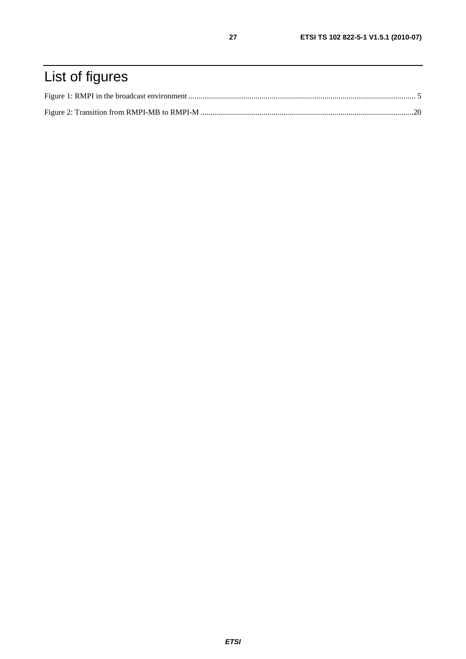## List of figures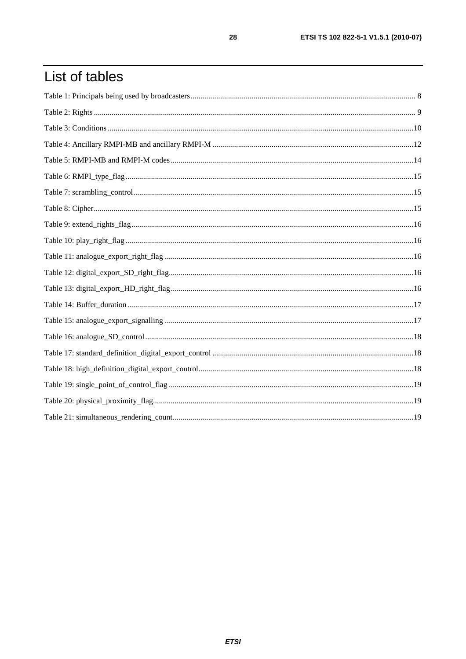## List of tables